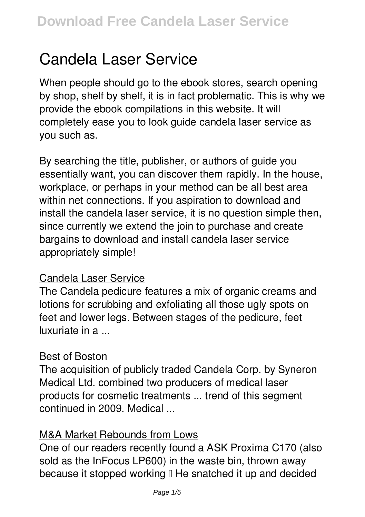# **Candela Laser Service**

When people should go to the ebook stores, search opening by shop, shelf by shelf, it is in fact problematic. This is why we provide the ebook compilations in this website. It will completely ease you to look guide **candela laser service** as you such as.

By searching the title, publisher, or authors of guide you essentially want, you can discover them rapidly. In the house, workplace, or perhaps in your method can be all best area within net connections. If you aspiration to download and install the candela laser service, it is no question simple then, since currently we extend the join to purchase and create bargains to download and install candela laser service appropriately simple!

## Candela Laser Service

The Candela pedicure features a mix of organic creams and lotions for scrubbing and exfoliating all those ugly spots on feet and lower legs. Between stages of the pedicure, feet luxuriate in a ...

#### Best of Boston

The acquisition of publicly traded Candela Corp. by Syneron Medical Ltd. combined two producers of medical laser products for cosmetic treatments ... trend of this segment continued in 2009. Medical ...

## M&A Market Rebounds from Lows

One of our readers recently found a ASK Proxima C170 (also sold as the InFocus LP600) in the waste bin, thrown away because it stopped working  $\mathbb I$  He snatched it up and decided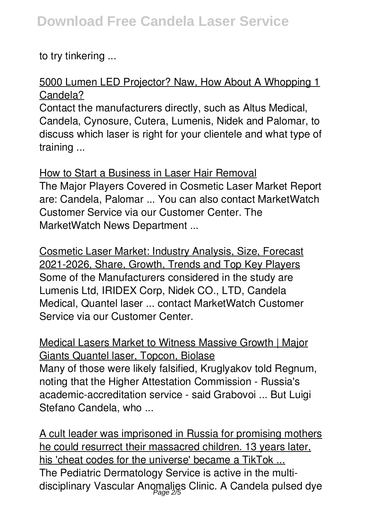to try tinkering ...

## 5000 Lumen LED Projector? Naw, How About A Whopping 1 Candela?

Contact the manufacturers directly, such as Altus Medical, Candela, Cynosure, Cutera, Lumenis, Nidek and Palomar, to discuss which laser is right for your clientele and what type of training ...

How to Start a Business in Laser Hair Removal The Major Players Covered in Cosmetic Laser Market Report are: Candela, Palomar ... You can also contact MarketWatch Customer Service via our Customer Center. The MarketWatch News Department ...

Cosmetic Laser Market: Industry Analysis, Size, Forecast 2021-2026, Share, Growth, Trends and Top Key Players Some of the Manufacturers considered in the study are Lumenis Ltd, IRIDEX Corp, Nidek CO., LTD, Candela Medical, Quantel laser ... contact MarketWatch Customer Service via our Customer Center.

Medical Lasers Market to Witness Massive Growth | Major Giants Quantel laser, Topcon, Biolase Many of those were likely falsified, Kruglyakov told Regnum, noting that the Higher Attestation Commission - Russia's academic-accreditation service - said Grabovoi ... But Luigi Stefano Candela, who ...

A cult leader was imprisoned in Russia for promising mothers he could resurrect their massacred children. 13 years later, his 'cheat codes for the universe' became a TikTok ... The Pediatric Dermatology Service is active in the multidisciplinary Vascular Anomalies Clinic. A Candela pulsed dye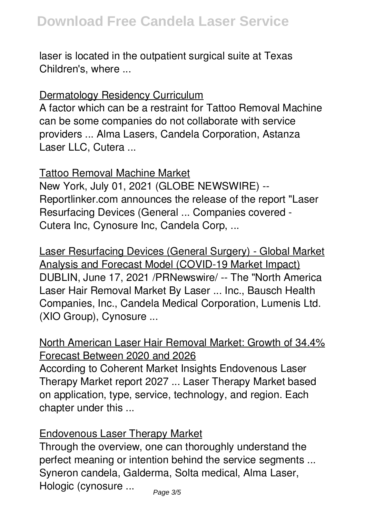laser is located in the outpatient surgical suite at Texas Children's, where ...

## Dermatology Residency Curriculum

A factor which can be a restraint for Tattoo Removal Machine can be some companies do not collaborate with service providers ... Alma Lasers, Candela Corporation, Astanza Laser LLC, Cutera ...

### Tattoo Removal Machine Market

New York, July 01, 2021 (GLOBE NEWSWIRE) -- Reportlinker.com announces the release of the report "Laser Resurfacing Devices (General ... Companies covered - Cutera Inc, Cynosure Inc, Candela Corp, ...

Laser Resurfacing Devices (General Surgery) - Global Market Analysis and Forecast Model (COVID-19 Market Impact) DUBLIN, June 17, 2021 /PRNewswire/ -- The "North America Laser Hair Removal Market By Laser ... Inc., Bausch Health Companies, Inc., Candela Medical Corporation, Lumenis Ltd. (XIO Group), Cynosure ...

North American Laser Hair Removal Market: Growth of 34.4% Forecast Between 2020 and 2026

According to Coherent Market Insights Endovenous Laser Therapy Market report 2027 ... Laser Therapy Market based on application, type, service, technology, and region. Each chapter under this ...

## Endovenous Laser Therapy Market

Through the overview, one can thoroughly understand the perfect meaning or intention behind the service segments ... Syneron candela, Galderma, Solta medical, Alma Laser, Hologic (cynosure ...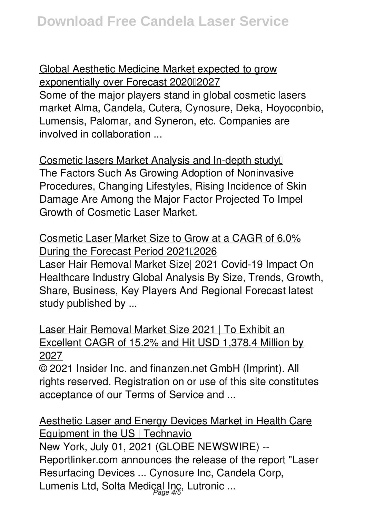Global Aesthetic Medicine Market expected to grow exponentially over Forecast 202002027 Some of the major players stand in global cosmetic lasers market Alma, Candela, Cutera, Cynosure, Deka, Hoyoconbio, Lumensis, Palomar, and Syneron, etc. Companies are involved in collaboration ...

Cosmetic lasers Market Analysis and In-depth study… The Factors Such As Growing Adoption of Noninvasive Procedures, Changing Lifestyles, Rising Incidence of Skin Damage Are Among the Major Factor Projected To Impel Growth of Cosmetic Laser Market.

Cosmetic Laser Market Size to Grow at a CAGR of 6.0% During the Forecast Period 202112026 Laser Hair Removal Market Size| 2021 Covid-19 Impact On Healthcare Industry Global Analysis By Size, Trends, Growth, Share, Business, Key Players And Regional Forecast latest study published by ...

Laser Hair Removal Market Size 2021 | To Exhibit an Excellent CAGR of 15.2% and Hit USD 1,378.4 Million by 2027

© 2021 Insider Inc. and finanzen.net GmbH (Imprint). All rights reserved. Registration on or use of this site constitutes acceptance of our Terms of Service and ...

Aesthetic Laser and Energy Devices Market in Health Care Equipment in the US | Technavio New York, July 01, 2021 (GLOBE NEWSWIRE) -- Reportlinker.com announces the release of the report "Laser Resurfacing Devices ... Cynosure Inc, Candela Corp, Lumenis Ltd, Solta Medical Inc., Lutronic ...